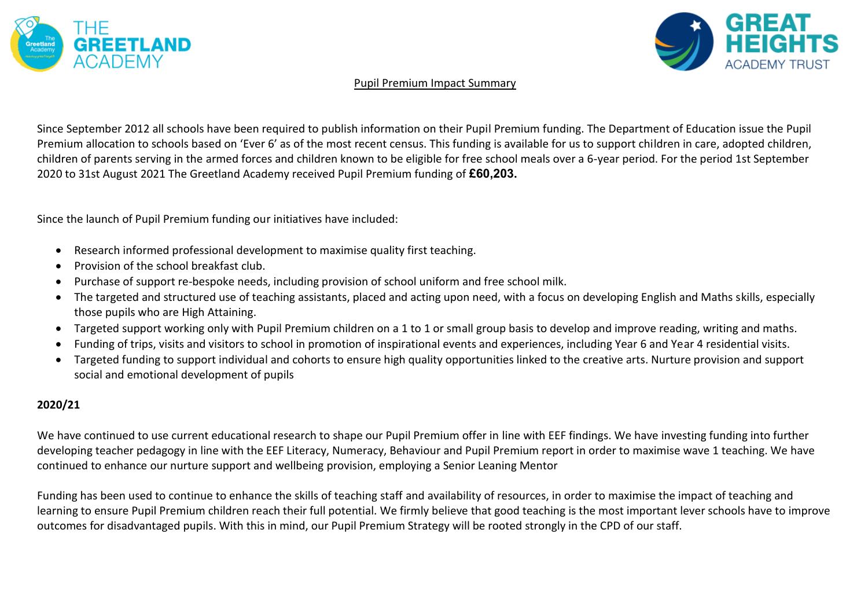



#### Pupil Premium Impact Summary

Since September 2012 all schools have been required to publish information on their Pupil Premium funding. The Department of Education issue the Pupil Premium allocation to schools based on 'Ever 6' as of the most recent census. This funding is available for us to support children in care, adopted children, children of parents serving in the armed forces and children known to be eligible for free school meals over a 6-year period. For the period 1st September 2020 to 31st August 2021 The Greetland Academy received Pupil Premium funding of **£60,203.**

Since the launch of Pupil Premium funding our initiatives have included:

- Research informed professional development to maximise quality first teaching.
- Provision of the school breakfast club.
- Purchase of support re-bespoke needs, including provision of school uniform and free school milk.
- The targeted and structured use of teaching assistants, placed and acting upon need, with a focus on developing English and Maths skills, especially those pupils who are High Attaining.
- Targeted support working only with Pupil Premium children on a 1 to 1 or small group basis to develop and improve reading, writing and maths.
- Funding of trips, visits and visitors to school in promotion of inspirational events and experiences, including Year 6 and Year 4 residential visits.
- Targeted funding to support individual and cohorts to ensure high quality opportunities linked to the creative arts. Nurture provision and support social and emotional development of pupils

### **2020/21**

We have continued to use current educational research to shape our Pupil Premium offer in line with EEF findings. We have investing funding into further developing teacher pedagogy in line with the EEF Literacy, Numeracy, Behaviour and Pupil Premium report in order to maximise wave 1 teaching. We have continued to enhance our nurture support and wellbeing provision, employing a Senior Leaning Mentor

Funding has been used to continue to enhance the skills of teaching staff and availability of resources, in order to maximise the impact of teaching and learning to ensure Pupil Premium children reach their full potential. We firmly believe that good teaching is the most important lever schools have to improve outcomes for disadvantaged pupils. With this in mind, our Pupil Premium Strategy will be rooted strongly in the CPD of our staff.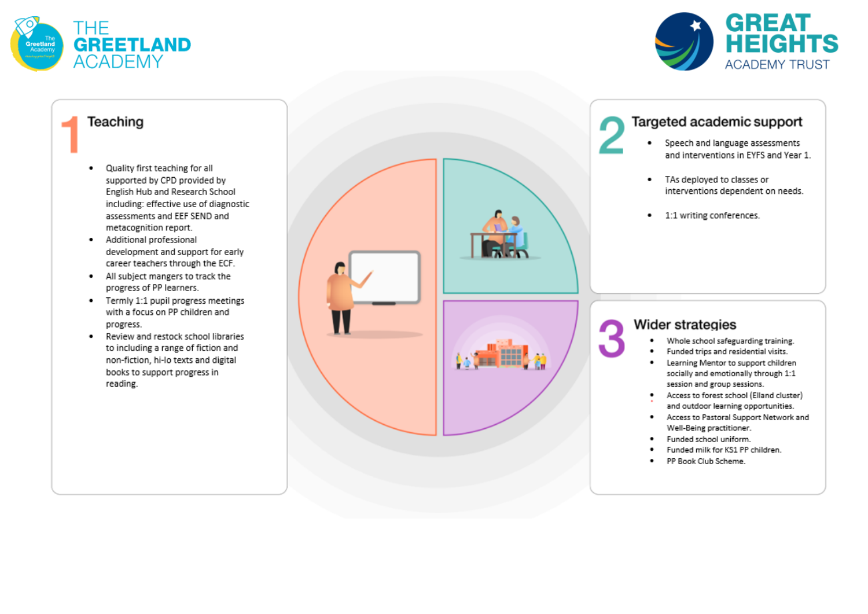



### Teaching

- Quality first teaching for all ٠ supported by CPD provided by English Hub and Research School including: effective use of diagnostic assessments and EEF SEND and metacognition report.
- Additional professional development and support for early career teachers through the ECF.
- . All subject mangers to track the progress of PP learners.
- Termly 1:1 pupil progress meetings with a focus on PP children and progress.
- Review and restock school libraries  $\bullet$ to including a range of fiction and non-fiction, hi-lo texts and digital books to support progress in reading.



## Targeted academic support

- Speech and language assessments . and interventions in EYFS and Year 1.
- . TAs deployed to classes or interventions dependent on needs.
- 1:1 writing conferences.

# **Wider strategies**

- Whole school safeguarding training.  $\bullet$
- $\bullet$ Funded trips and residential visits.
- $\bullet$ Learning Mentor to support children socially and emotionally through 1:1 session and group sessions.
- Access to forest school (Elland cluster) and outdoor learning opportunities.
- Access to Pastoral Support Network and Well-Being practitioner.
- Funded school uniform.
- Funded milk for KS1 PP children.
- PP Book Club Scheme.